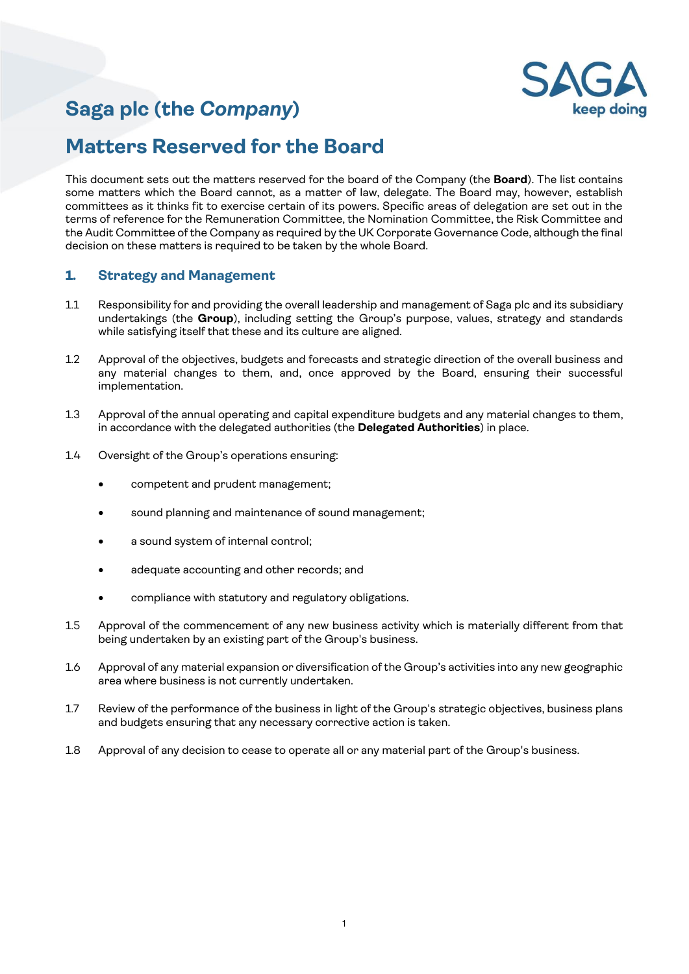# **Saga plc (the** *Company***)**



## **Matters Reserved for the Board**

This document sets out the matters reserved for the board of the Company (the **Board**). The list contains some matters which the Board cannot, as a matter of law, delegate. The Board may, however, establish committees as it thinks fit to exercise certain of its powers. Specific areas of delegation are set out in the terms of reference for the Remuneration Committee, the Nomination Committee, the Risk Committee and the Audit Committee of the Company as required by the UK Corporate Governance Code, although the final decision on these matters is required to be taken by the whole Board.

## **1. Strategy and Management**

- 1.1 Responsibility for and providing the overall leadership and management of Saga plc and its subsidiary undertakings (the **Group**), including setting the Group's purpose, values, strategy and standards while satisfying itself that these and its culture are aligned.
- 1.2 Approval of the objectives, budgets and forecasts and strategic direction of the overall business and any material changes to them, and, once approved by the Board, ensuring their successful implementation.
- 1.3 Approval of the annual operating and capital expenditure budgets and any material changes to them, in accordance with the delegated authorities (the **Delegated Authorities**) in place.
- 1.4 Oversight of the Group's operations ensuring:
	- competent and prudent management;
	- sound planning and maintenance of sound management;
	- a sound system of internal control;
	- adequate accounting and other records; and
	- compliance with statutory and regulatory obligations.
- 1.5 Approval of the commencement of any new business activity which is materially different from that being undertaken by an existing part of the Group's business.
- 1.6 Approval of any material expansion or diversification of the Group's activities into any new geographic area where business is not currently undertaken.
- 1.7 Review of the performance of the business in light of the Group's strategic objectives, business plans and budgets ensuring that any necessary corrective action is taken.
- 1.8 Approval of any decision to cease to operate all or any material part of the Group's business.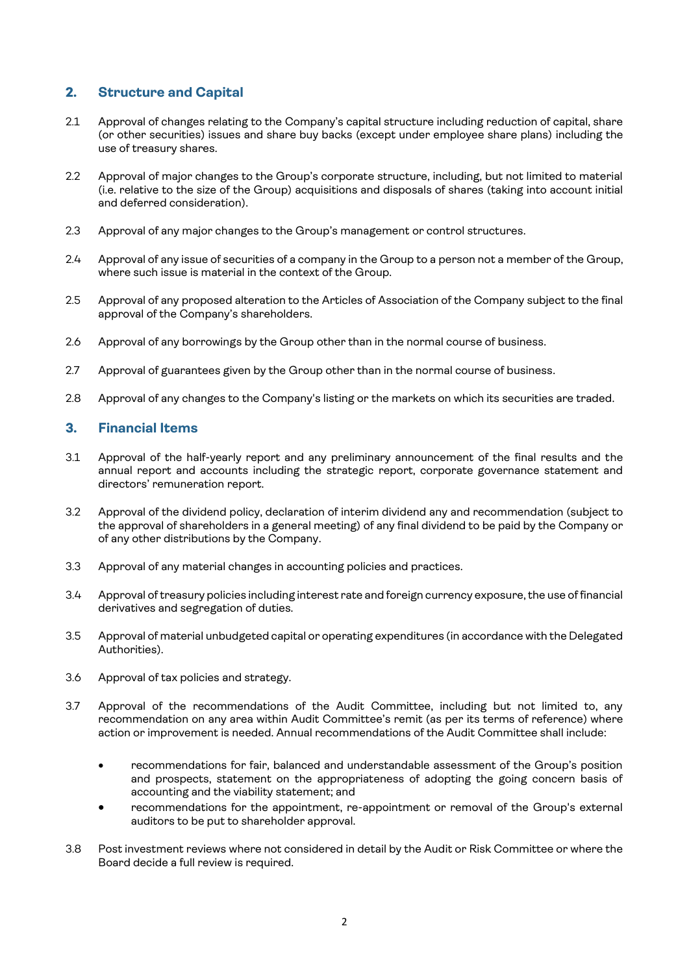## **2. Structure and Capital**

- 2.1 Approval of changes relating to the Company's capital structure including reduction of capital, share (or other securities) issues and share buy backs (except under employee share plans) including the use of treasury shares.
- 2.2 Approval of major changes to the Group's corporate structure, including, but not limited to material (i.e. relative to the size of the Group) acquisitions and disposals of shares (taking into account initial and deferred consideration).
- 2.3 Approval of any major changes to the Group's management or control structures.
- 2.4 Approval of any issue of securities of a company in the Group to a person not a member of the Group, where such issue is material in the context of the Group.
- 2.5 Approval of any proposed alteration to the Articles of Association of the Company subject to the final approval of the Company's shareholders.
- 2.6 Approval of any borrowings by the Group other than in the normal course of business.
- 2.7 Approval of guarantees given by the Group other than in the normal course of business.
- 2.8 Approval of any changes to the Company's listing or the markets on which its securities are traded.

## **3. Financial Items**

- 3.1 Approval of the half-yearly report and any preliminary announcement of the final results and the annual report and accounts including the strategic report, corporate governance statement and directors' remuneration report.
- 3.2 Approval of the dividend policy, declaration of interim dividend any and recommendation (subject to the approval of shareholders in a general meeting) of any final dividend to be paid by the Company or of any other distributions by the Company.
- 3.3 Approval of any material changes in accounting policies and practices.
- 3.4 Approval of treasury policies including interest rate and foreign currency exposure, the use of financial derivatives and segregation of duties.
- 3.5 Approval of material unbudgeted capital or operating expenditures (in accordance with the Delegated Authorities).
- 3.6 Approval of tax policies and strategy.
- 3.7 Approval of the recommendations of the Audit Committee, including but not limited to, any recommendation on any area within Audit Committee's remit (as per its terms of reference) where action or improvement is needed. Annual recommendations of the Audit Committee shall include:
	- recommendations for fair, balanced and understandable assessment of the Group's position and prospects, statement on the appropriateness of adopting the going concern basis of accounting and the viability statement; and
	- recommendations for the appointment, re-appointment or removal of the Group's external auditors to be put to shareholder approval.
- 3.8 Post investment reviews where not considered in detail by the Audit or Risk Committee or where the Board decide a full review is required.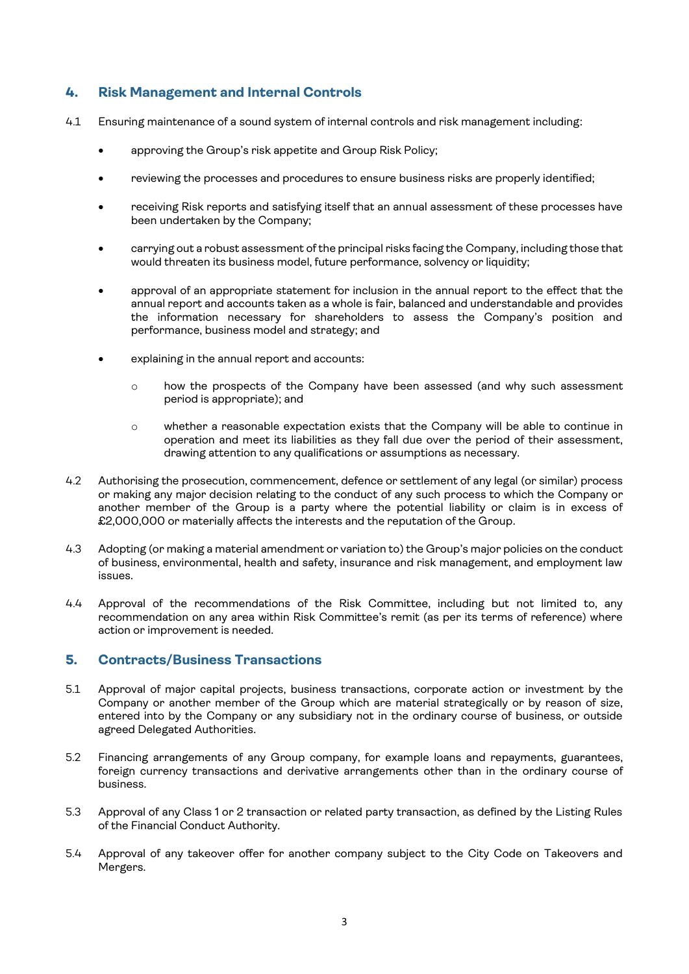## **4. Risk Management and Internal Controls**

- 4.1 Ensuring maintenance of a sound system of internal controls and risk management including:
	- approving the Group's risk appetite and Group Risk Policy;
	- reviewing the processes and procedures to ensure business risks are properly identified;
	- receiving Risk reports and satisfying itself that an annual assessment of these processes have been undertaken by the Company;
	- carrying out a robust assessment of the principal risks facing the Company, including those that would threaten its business model, future performance, solvency or liquidity;
	- approval of an appropriate statement for inclusion in the annual report to the effect that the annual report and accounts taken as a whole is fair, balanced and understandable and provides the information necessary for shareholders to assess the Company's position and performance, business model and strategy; and
	- explaining in the annual report and accounts:
		- o how the prospects of the Company have been assessed (and why such assessment period is appropriate); and
		- o whether a reasonable expectation exists that the Company will be able to continue in operation and meet its liabilities as they fall due over the period of their assessment, drawing attention to any qualifications or assumptions as necessary.
- 4.2 Authorising the prosecution, commencement, defence or settlement of any legal (or similar) process or making any major decision relating to the conduct of any such process to which the Company or another member of the Group is a party where the potential liability or claim is in excess of £2,000,000 or materially affects the interests and the reputation of the Group.
- 4.3 Adopting (or making a material amendment or variation to) the Group's major policies on the conduct of business, environmental, health and safety, insurance and risk management, and employment law issues.
- 4.4 Approval of the recommendations of the Risk Committee, including but not limited to, any recommendation on any area within Risk Committee's remit (as per its terms of reference) where action or improvement is needed.

## **5. Contracts/Business Transactions**

- 5.1 Approval of major capital projects, business transactions, corporate action or investment by the Company or another member of the Group which are material strategically or by reason of size, entered into by the Company or any subsidiary not in the ordinary course of business, or outside agreed Delegated Authorities.
- 5.2 Financing arrangements of any Group company, for example loans and repayments, guarantees, foreign currency transactions and derivative arrangements other than in the ordinary course of business.
- 5.3 Approval of any Class 1 or 2 transaction or related party transaction, as defined by the Listing Rules of the Financial Conduct Authority.
- 5.4 Approval of any takeover offer for another company subject to the City Code on Takeovers and Mergers.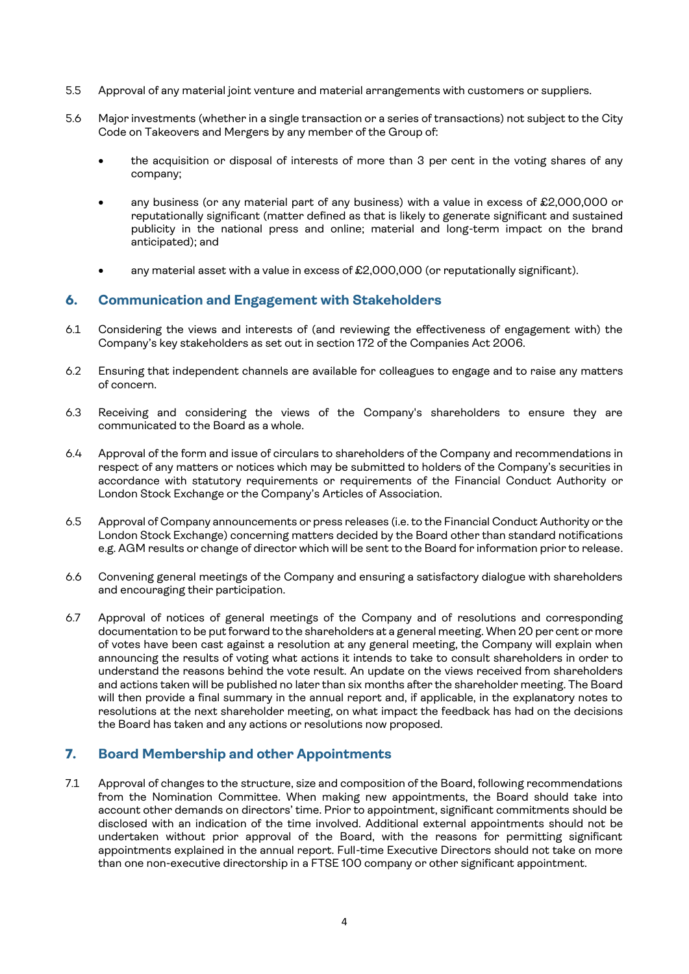- 5.5 Approval of any material joint venture and material arrangements with customers or suppliers.
- 5.6 Major investments (whether in a single transaction or a series of transactions) not subject to the City Code on Takeovers and Mergers by any member of the Group of:
	- the acquisition or disposal of interests of more than 3 per cent in the voting shares of any company;
	- any business (or any material part of any business) with a value in excess of £2,000,000 or reputationally significant (matter defined as that is likely to generate significant and sustained publicity in the national press and online; material and long-term impact on the brand anticipated); and
	- any material asset with a value in excess of  $£2,000,000$  (or reputationally significant).

## **6. Communication and Engagement with Stakeholders**

- 6.1 Considering the views and interests of (and reviewing the effectiveness of engagement with) the Company's key stakeholders as set out in section 172 of the Companies Act 2006.
- 6.2 Ensuring that independent channels are available for colleagues to engage and to raise any matters of concern.
- 6.3 Receiving and considering the views of the Company's shareholders to ensure they are communicated to the Board as a whole.
- 6.4 Approval of the form and issue of circulars to shareholders of the Company and recommendations in respect of any matters or notices which may be submitted to holders of the Company's securities in accordance with statutory requirements or requirements of the Financial Conduct Authority or London Stock Exchange or the Company's Articles of Association.
- 6.5 Approval of Company announcements or press releases (i.e. to the Financial Conduct Authority or the London Stock Exchange) concerning matters decided by the Board other than standard notifications e.g. AGM results or change of director which will be sent to the Board for information prior to release.
- 6.6 Convening general meetings of the Company and ensuring a satisfactory dialogue with shareholders and encouraging their participation.
- 6.7 Approval of notices of general meetings of the Company and of resolutions and corresponding documentation to be put forward to the shareholders at a general meeting. When 20 per cent or more of votes have been cast against a resolution at any general meeting, the Company will explain when announcing the results of voting what actions it intends to take to consult shareholders in order to understand the reasons behind the vote result. An update on the views received from shareholders and actions taken will be published no later than six months after the shareholder meeting. The Board will then provide a final summary in the annual report and, if applicable, in the explanatory notes to resolutions at the next shareholder meeting, on what impact the feedback has had on the decisions the Board has taken and any actions or resolutions now proposed.

## **7. Board Membership and other Appointments**

7.1 Approval of changes to the structure, size and composition of the Board, following recommendations from the Nomination Committee. When making new appointments, the Board should take into account other demands on directors' time. Prior to appointment, significant commitments should be disclosed with an indication of the time involved. Additional external appointments should not be undertaken without prior approval of the Board, with the reasons for permitting significant appointments explained in the annual report. Full-time Executive Directors should not take on more than one non-executive directorship in a FTSE 100 company or other significant appointment.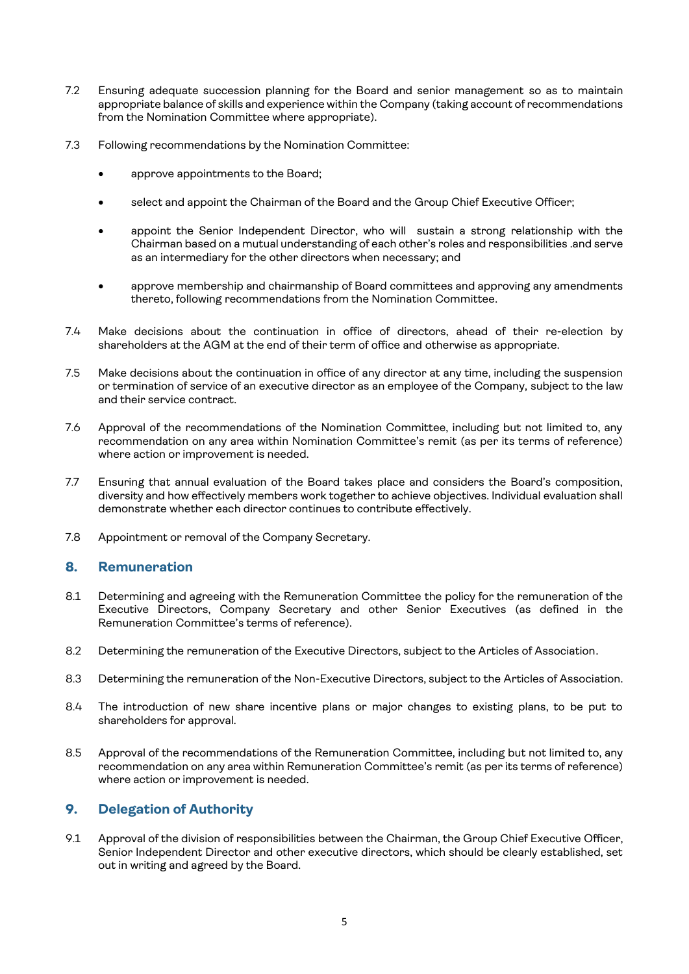- 7.2 Ensuring adequate succession planning for the Board and senior management so as to maintain appropriate balance of skills and experience within the Company (taking account of recommendations from the Nomination Committee where appropriate).
- 7.3 Following recommendations by the Nomination Committee:
	- approve appointments to the Board;
	- select and appoint the Chairman of the Board and the Group Chief Executive Officer;
	- appoint the Senior Independent Director, who will sustain a strong relationship with the Chairman based on a mutual understanding of each other's roles and responsibilities .and serve as an intermediary for the other directors when necessary; and
	- approve membership and chairmanship of Board committees and approving any amendments thereto, following recommendations from the Nomination Committee.
- 7.4 Make decisions about the continuation in office of directors, ahead of their re-election by shareholders at the AGM at the end of their term of office and otherwise as appropriate.
- 7.5 Make decisions about the continuation in office of any director at any time, including the suspension or termination of service of an executive director as an employee of the Company, subject to the law and their service contract.
- 7.6 Approval of the recommendations of the Nomination Committee, including but not limited to, any recommendation on any area within Nomination Committee's remit (as per its terms of reference) where action or improvement is needed.
- 7.7 Ensuring that annual evaluation of the Board takes place and considers the Board's composition, diversity and how effectively members work together to achieve objectives. Individual evaluation shall demonstrate whether each director continues to contribute effectively.
- 7.8 Appointment or removal of the Company Secretary.

## **8. Remuneration**

- 8.1 Determining and agreeing with the Remuneration Committee the policy for the remuneration of the Executive Directors, Company Secretary and other Senior Executives (as defined in the Remuneration Committee's terms of reference).
- 8.2 Determining the remuneration of the Executive Directors, subject to the Articles of Association.
- 8.3 Determining the remuneration of the Non-Executive Directors, subject to the Articles of Association.
- 8.4 The introduction of new share incentive plans or major changes to existing plans, to be put to shareholders for approval.
- 8.5 Approval of the recommendations of the Remuneration Committee, including but not limited to, any recommendation on any area within Remuneration Committee's remit (as per its terms of reference) where action or improvement is needed.

## **9. Delegation of Authority**

9.1 Approval of the division of responsibilities between the Chairman, the Group Chief Executive Officer, Senior Independent Director and other executive directors, which should be clearly established, set out in writing and agreed by the Board.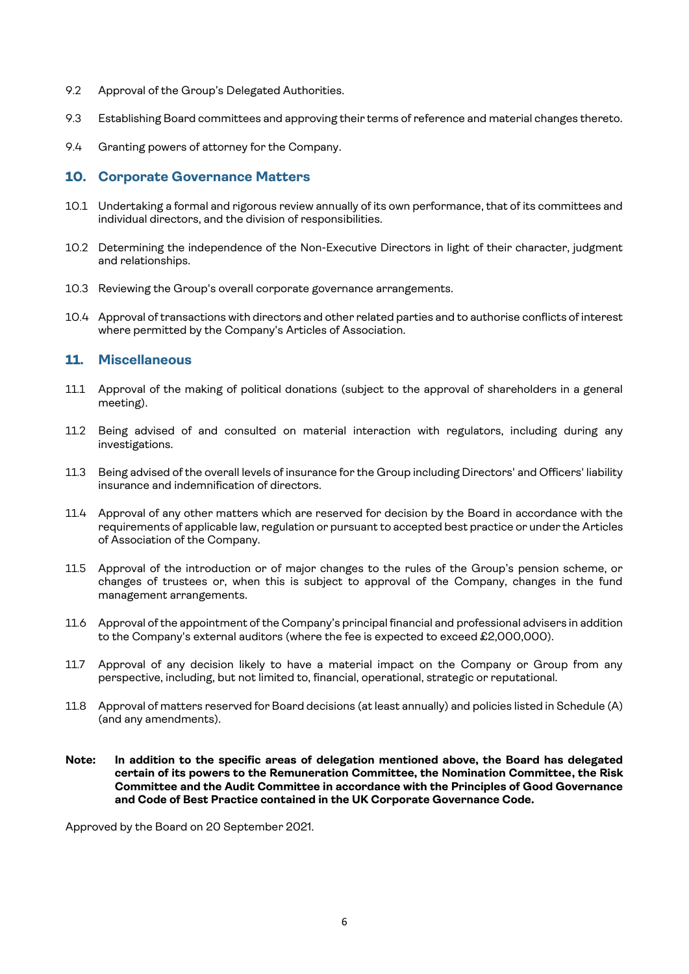- 9.2 Approval of the Group's Delegated Authorities.
- 9.3 Establishing Board committees and approving their terms of reference and material changes thereto.
- 9.4 Granting powers of attorney for the Company.

#### **10. Corporate Governance Matters**

- 10.1 Undertaking a formal and rigorous review annually of its own performance, that of its committees and individual directors, and the division of responsibilities.
- 10.2 Determining the independence of the Non-Executive Directors in light of their character, judgment and relationships.
- 10.3 Reviewing the Group's overall corporate governance arrangements.
- 10.4 Approval oftransactions with directors and other related parties and to authorise conflicts of interest where permitted by the Company's Articles of Association.

#### **11. Miscellaneous**

- 11.1 Approval of the making of political donations (subject to the approval of shareholders in a general meeting).
- 11.2 Being advised of and consulted on material interaction with regulators, including during any investigations.
- 11.3 Being advised ofthe overall levels of insurance for the Group including Directors' and Officers' liability insurance and indemnification of directors.
- 11.4 Approval of any other matters which are reserved for decision by the Board in accordance with the requirements of applicable law, regulation or pursuant to accepted best practice or under the Articles of Association of the Company.
- 11.5 Approval of the introduction or of major changes to the rules of the Group's pension scheme, or changes of trustees or, when this is subject to approval of the Company, changes in the fund management arrangements.
- 11.6 Approval of the appointment of the Company's principal financial and professional advisers in addition to the Company's external auditors (where the fee is expected to exceed £2,000,000).
- 11.7 Approval of any decision likely to have a material impact on the Company or Group from any perspective, including, but not limited to, financial, operational, strategic or reputational.
- 11.8 Approval of matters reserved for Board decisions (at least annually) and policies listed in Schedule (A) (and any amendments).
- **Note: In addition to the specific areas of delegation mentioned above, the Board has delegated certain of its powers to the Remuneration Committee, the Nomination Committee, the Risk Committee and the Audit Committee in accordance with the Principles of Good Governance and Code of Best Practice contained in the UK Corporate Governance Code.**

Approved by the Board on 20 September 2021.